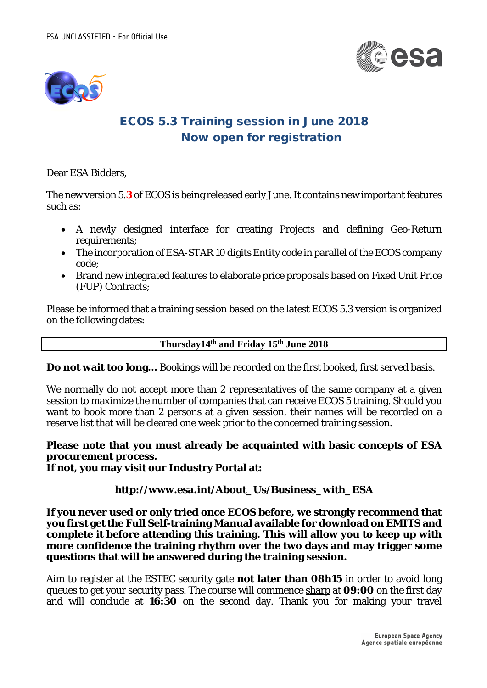



## ECOS 5.3 Training session in June 2018 Now open for registration

Dear ESA Bidders,

The new version 5.**3** of ECOS is being released early June. It contains new important features such as:

- A newly designed interface for creating Projects and defining Geo-Return requirements;
- The incorporation of ESA-STAR 10 digits Entity code in parallel of the ECOS company code;
- Brand new integrated features to elaborate price proposals based on Fixed Unit Price (FUP) Contracts;

Please be informed that a training session based on the latest ECOS 5.3 version is organized on the following dates:

**Thursday14th and Friday 15th June 2018**

**Do not wait too long…** Bookings will be recorded on the first booked, first served basis.

We normally do not accept more than 2 representatives of the same company at a given session to maximize the number of companies that can receive ECOS 5 training. Should you want to book more than 2 persons at a given session, their names will be recorded on a reserve list that will be cleared one week prior to the concerned training session.

**Please note that you must already be acquainted with basic concepts of ESA procurement process. If not, you may visit our Industry Portal at:**

**http://www.esa.int/About\_Us/Business\_with\_ESA**

**If you never used or only tried once ECOS before, we strongly recommend that you first get the Full Self-training Manual available for download on EMITS and complete it before attending this training. This will allow you to keep up with more confidence the training rhythm over the two days and may trigger some questions that will be answered during the training session.**

Aim to register at the ESTEC security gate **not later than 08h15** in order to avoid long queues to get your security pass. The course will commence sharp at **09:00** on the first day and will conclude at **16:30** on the second day. Thank you for making your travel